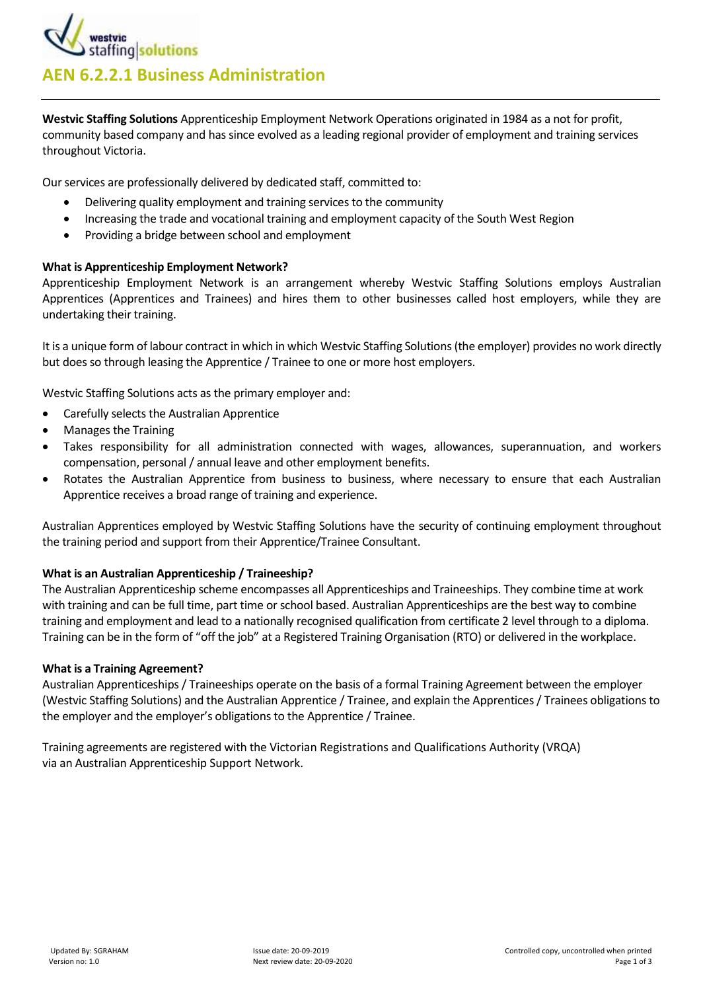

**Westvic Staffing Solutions** Apprenticeship Employment Network Operations originated in 1984 as a not for profit, community based company and has since evolved as a leading regional provider of employment and training services throughout Victoria.

Our services are professionally delivered by dedicated staff, committed to:

- Delivering quality employment and training services to the community
- Increasing the trade and vocational training and employment capacity of the South West Region
- Providing a bridge between school and employment

### **What is Apprenticeship Employment Network?**

Apprenticeship Employment Network is an arrangement whereby Westvic Staffing Solutions employs Australian Apprentices (Apprentices and Trainees) and hires them to other businesses called host employers, while they are undertaking their training.

It is a unique form of labour contract in which in which Westvic Staffing Solutions (the employer) provides no work directly but does so through leasing the Apprentice / Trainee to one or more host employers.

Westvic Staffing Solutions acts as the primary employer and:

- Carefully selects the Australian Apprentice
- Manages the Training
- Takes responsibility for all administration connected with wages, allowances, superannuation, and workers compensation, personal / annual leave and other employment benefits.
- Rotates the Australian Apprentice from business to business, where necessary to ensure that each Australian Apprentice receives a broad range of training and experience.

Australian Apprentices employed by Westvic Staffing Solutions have the security of continuing employment throughout the training period and support from their Apprentice/Trainee Consultant.

### **What is an Australian Apprenticeship / Traineeship?**

The Australian Apprenticeship scheme encompasses all Apprenticeships and Traineeships. They combine time at work with training and can be full time, part time or school based. Australian Apprenticeships are the best way to combine training and employment and lead to a nationally recognised qualification from certificate 2 level through to a diploma. Training can be in the form of "off the job" at a Registered Training Organisation (RTO) or delivered in the workplace.

### **What is a Training Agreement?**

Australian Apprenticeships / Traineeships operate on the basis of a formal Training Agreement between the employer (Westvic Staffing Solutions) and the Australian Apprentice / Trainee, and explain the Apprentices / Trainees obligations to the employer and the employer's obligations to the Apprentice / Trainee.

Training agreements are registered with the Victorian Registrations and Qualifications Authority (VRQA) via an Australian Apprenticeship Support Network.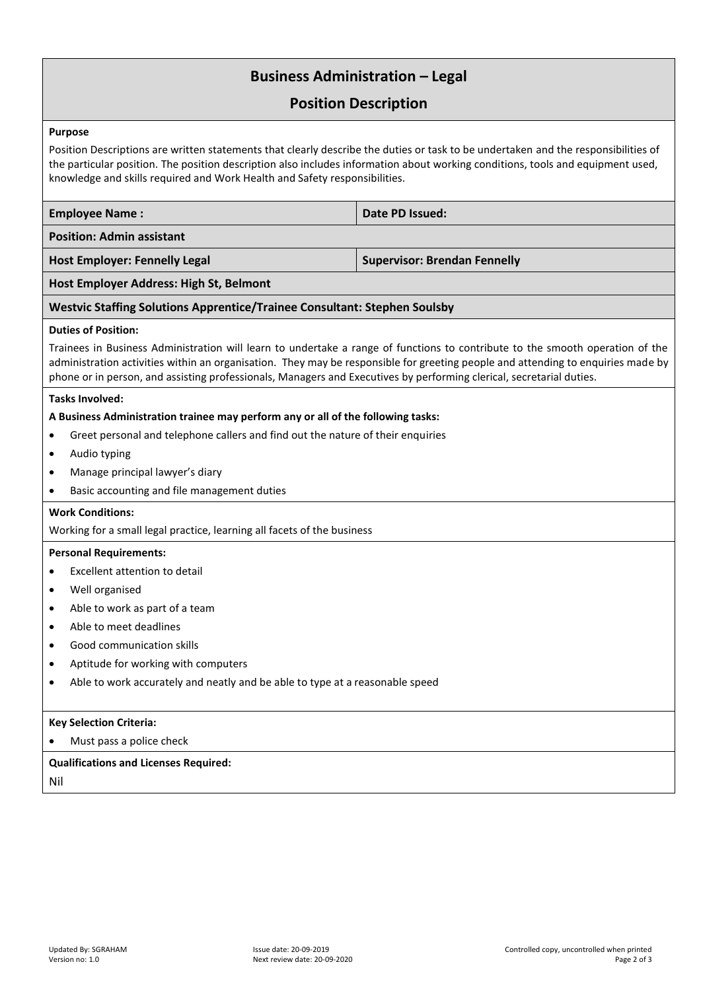# **Business Administration – Legal**

## **Position Description**

#### **Purpose**

Position Descriptions are written statements that clearly describe the duties or task to be undertaken and the responsibilities of the particular position. The position description also includes information about working conditions, tools and equipment used, knowledge and skills required and Work Health and Safety responsibilities.

|                                                                                                                                                                                                                                                                                                                                                                                           | <b>Employee Name:</b>                                                            | Date PD Issued:                     |  |  |  |  |
|-------------------------------------------------------------------------------------------------------------------------------------------------------------------------------------------------------------------------------------------------------------------------------------------------------------------------------------------------------------------------------------------|----------------------------------------------------------------------------------|-------------------------------------|--|--|--|--|
| <b>Position: Admin assistant</b>                                                                                                                                                                                                                                                                                                                                                          |                                                                                  |                                     |  |  |  |  |
|                                                                                                                                                                                                                                                                                                                                                                                           | <b>Host Employer: Fennelly Legal</b>                                             | <b>Supervisor: Brendan Fennelly</b> |  |  |  |  |
| Host Employer Address: High St, Belmont                                                                                                                                                                                                                                                                                                                                                   |                                                                                  |                                     |  |  |  |  |
|                                                                                                                                                                                                                                                                                                                                                                                           | <b>Westvic Staffing Solutions Apprentice/Trainee Consultant: Stephen Soulsby</b> |                                     |  |  |  |  |
| <b>Duties of Position:</b>                                                                                                                                                                                                                                                                                                                                                                |                                                                                  |                                     |  |  |  |  |
| Trainees in Business Administration will learn to undertake a range of functions to contribute to the smooth operation of the<br>administration activities within an organisation. They may be responsible for greeting people and attending to enquiries made by<br>phone or in person, and assisting professionals, Managers and Executives by performing clerical, secretarial duties. |                                                                                  |                                     |  |  |  |  |
|                                                                                                                                                                                                                                                                                                                                                                                           | <b>Tasks Involved:</b>                                                           |                                     |  |  |  |  |
|                                                                                                                                                                                                                                                                                                                                                                                           | A Business Administration trainee may perform any or all of the following tasks: |                                     |  |  |  |  |
| $\bullet$                                                                                                                                                                                                                                                                                                                                                                                 | Greet personal and telephone callers and find out the nature of their enquiries  |                                     |  |  |  |  |
| $\bullet$                                                                                                                                                                                                                                                                                                                                                                                 | Audio typing                                                                     |                                     |  |  |  |  |
| $\bullet$                                                                                                                                                                                                                                                                                                                                                                                 | Manage principal lawyer's diary                                                  |                                     |  |  |  |  |
| $\bullet$                                                                                                                                                                                                                                                                                                                                                                                 | Basic accounting and file management duties                                      |                                     |  |  |  |  |
|                                                                                                                                                                                                                                                                                                                                                                                           | <b>Work Conditions:</b>                                                          |                                     |  |  |  |  |
| Working for a small legal practice, learning all facets of the business                                                                                                                                                                                                                                                                                                                   |                                                                                  |                                     |  |  |  |  |
|                                                                                                                                                                                                                                                                                                                                                                                           | <b>Personal Requirements:</b>                                                    |                                     |  |  |  |  |
| $\bullet$                                                                                                                                                                                                                                                                                                                                                                                 | Excellent attention to detail                                                    |                                     |  |  |  |  |
| $\bullet$                                                                                                                                                                                                                                                                                                                                                                                 | Well organised                                                                   |                                     |  |  |  |  |
| $\bullet$                                                                                                                                                                                                                                                                                                                                                                                 | Able to work as part of a team                                                   |                                     |  |  |  |  |
| $\bullet$                                                                                                                                                                                                                                                                                                                                                                                 | Able to meet deadlines                                                           |                                     |  |  |  |  |
| $\bullet$                                                                                                                                                                                                                                                                                                                                                                                 | Good communication skills                                                        |                                     |  |  |  |  |
| $\bullet$                                                                                                                                                                                                                                                                                                                                                                                 | Aptitude for working with computers                                              |                                     |  |  |  |  |
| $\bullet$                                                                                                                                                                                                                                                                                                                                                                                 | Able to work accurately and neatly and be able to type at a reasonable speed     |                                     |  |  |  |  |
|                                                                                                                                                                                                                                                                                                                                                                                           | <b>Key Selection Criteria:</b>                                                   |                                     |  |  |  |  |
|                                                                                                                                                                                                                                                                                                                                                                                           | Must pass a police check                                                         |                                     |  |  |  |  |
| <b>Qualifications and Licenses Required:</b>                                                                                                                                                                                                                                                                                                                                              |                                                                                  |                                     |  |  |  |  |
|                                                                                                                                                                                                                                                                                                                                                                                           | Nil                                                                              |                                     |  |  |  |  |